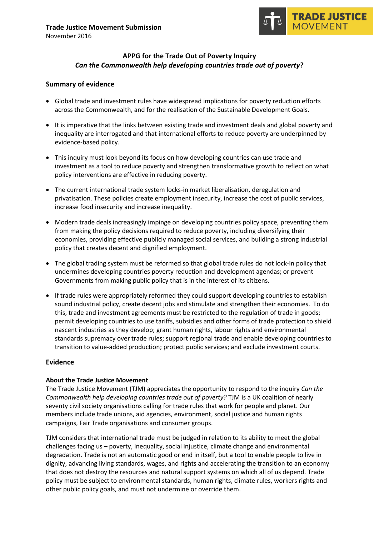

# **APPG for the Trade Out of Poverty Inquiry** *Can the Commonwealth help developing countries trade out of poverty***?**

## **Summary of evidence**

- Global trade and investment rules have widespread implications for poverty reduction efforts across the Commonwealth, and for the realisation of the Sustainable Development Goals.
- It is imperative that the links between existing trade and investment deals and global poverty and inequality are interrogated and that international efforts to reduce poverty are underpinned by evidence-based policy.
- This inquiry must look beyond its focus on how developing countries can use trade and investment as a tool to reduce poverty and strengthen transformative growth to reflect on what policy interventions are effective in reducing poverty.
- The current international trade system locks-in market liberalisation, deregulation and privatisation. These policies create employment insecurity, increase the cost of public services, increase food insecurity and increase inequality.
- Modern trade deals increasingly impinge on developing countries policy space, preventing them from making the policy decisions required to reduce poverty, including diversifying their economies, providing effective publicly managed social services, and building a strong industrial policy that creates decent and dignified employment.
- The global trading system must be reformed so that global trade rules do not lock-in policy that undermines developing countries poverty reduction and development agendas; or prevent Governments from making public policy that is in the interest of its citizens.
- If trade rules were appropriately reformed they could support developing countries to establish sound industrial policy, create decent jobs and stimulate and strengthen their economies. To do this, trade and investment agreements must be restricted to the regulation of trade in goods; permit developing countries to use tariffs, subsidies and other forms of trade protection to shield nascent industries as they develop; grant human rights, labour rights and environmental standards supremacy over trade rules; support regional trade and enable developing countries to transition to value-added production; protect public services; and exclude investment courts.

#### **Evidence**

#### **About the Trade Justice Movement**

The Trade Justice Movement (TJM) appreciates the opportunity to respond to the inquiry *Can the Commonwealth help developing countries trade out of poverty?* TJM is a UK coalition of nearly seventy civil society organisations calling for trade rules that work for people and planet. Our members include trade unions, aid agencies, environment, social justice and human rights campaigns, Fair Trade organisations and consumer groups.

TJM considers that international trade must be judged in relation to its ability to meet the global challenges facing us – poverty, inequality, social injustice, climate change and environmental degradation. Trade is not an automatic good or end in itself, but a tool to enable people to live in dignity, advancing living standards, wages, and rights and accelerating the transition to an economy that does not destroy the resources and natural support systems on which all of us depend. Trade policy must be subject to environmental standards, human rights, climate rules, workers rights and other public policy goals, and must not undermine or override them.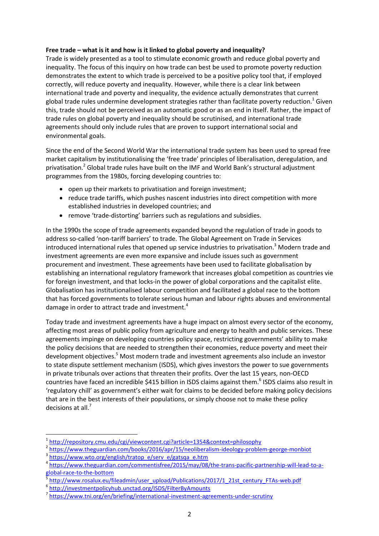# **Free trade – what is it and how is it linked to global poverty and inequality?**

Trade is widely presented as a tool to stimulate economic growth and reduce global poverty and inequality. The focus of this inquiry on how trade can best be used to promote poverty reduction demonstrates the extent to which trade is perceived to be a positive policy tool that, if employed correctly, will reduce poverty and inequality. However, while there is a clear link between international trade and poverty and inequality, the evidence actually demonstrates that current global trade rules undermine development strategies rather than facilitate poverty reduction.<sup>1</sup> Given this, trade should not be perceived as an automatic good or as an end in itself. Rather, the impact of trade rules on global poverty and inequality should be scrutinised, and international trade agreements should only include rules that are proven to support international social and environmental goals.

Since the end of the Second World War the international trade system has been used to spread free market capitalism by institutionalising the 'free trade' principles of liberalisation, deregulation, and privatisation.<sup>2</sup> Global trade rules have built on the IMF and World Bank's structural adjustment programmes from the 1980s, forcing developing countries to:

- open up their markets to privatisation and foreign investment;
- reduce trade tariffs, which pushes nascent industries into direct competition with more established industries in developed countries; and
- remove 'trade-distorting' barriers such as regulations and subsidies.

In the 1990s the scope of trade agreements expanded beyond the regulation of trade in goods to address so-called 'non-tariff barriers' to trade. The Global Agreement on Trade in Services introduced international rules that opened up service industries to privatisation.<sup>3</sup> Modern trade and investment agreements are even more expansive and include issues such as government procurement and investment. These agreements have been used to facilitate globalisation by establishing an international regulatory framework that increases global competition as countries vie for foreign investment, and that locks-in the power of global corporations and the capitalist elite. Globalisation has institutionalised labour competition and facilitated a global race to the bottom that has forced governments to tolerate serious human and labour rights abuses and environmental damage in order to attract trade and investment.<sup>4</sup>

Today trade and investment agreements have a huge impact on almost every sector of the economy, affecting most areas of public policy from agriculture and energy to health and public services. These agreements impinge on developing countries policy space, restricting governments' ability to make the policy decisions that are needed to strengthen their economies, reduce poverty and meet their development objectives.<sup>5</sup> Most modern trade and investment agreements also include an investor to state dispute settlement mechanism (ISDS), which gives investors the power to sue governments in private tribunals over actions that threaten their profits. Over the last 15 years, non-OECD countries have faced an incredible \$415 billion in ISDS claims against them.<sup>6</sup> ISDS claims also result in 'regulatory chill' as government's either wait for claims to be decided before making policy decisions that are in the best interests of their populations, or simply choose not to make these policy decisions at all.<sup>7</sup>

**.** 

<sup>1</sup> <http://repository.cmu.edu/cgi/viewcontent.cgi?article=1354&context=philosophy>

<sup>&</sup>lt;sup>2</sup> <https://www.theguardian.com/books/2016/apr/15/neoliberalism-ideology-problem-george-monbiot>

<sup>&</sup>lt;sup>3</sup> [https://www.wto.org/english/tratop\\_e/serv\\_e/gatsqa\\_e.htm](https://www.wto.org/english/tratop_e/serv_e/gatsqa_e.htm)

<sup>4</sup> [https://www.theguardian.com/commentisfree/2015/may/08/the-trans-pacific-partnership-will-lead-to-a](https://www.theguardian.com/commentisfree/2015/may/08/the-trans-pacific-partnership-will-lead-to-a-global-race-to-the-bottom)[global-race-to-the-bottom](https://www.theguardian.com/commentisfree/2015/may/08/the-trans-pacific-partnership-will-lead-to-a-global-race-to-the-bottom)

<sup>5</sup> [http://www.rosalux.eu/fileadmin/user\\_upload/Publications/2017/1\\_21st\\_century\\_FTAs-web.pdf](http://www.rosalux.eu/fileadmin/user_upload/Publications/2017/1_21st_century_FTAs-web.pdf)

<sup>6</sup> <http://investmentpolicyhub.unctad.org/ISDS/FilterByAmounts>

<sup>7</sup> <https://www.tni.org/en/briefing/international-investment-agreements-under-scrutiny>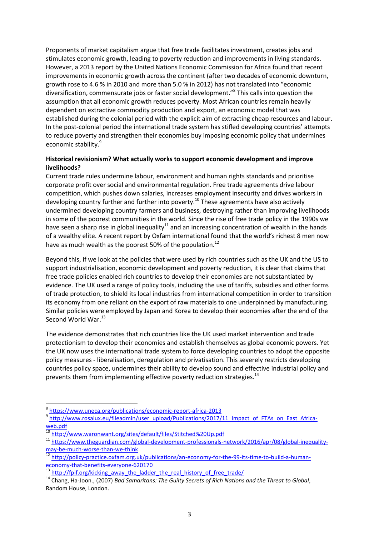Proponents of market capitalism argue that free trade facilitates investment, creates jobs and stimulates economic growth, leading to poverty reduction and improvements in living standards. However, a 2013 report by the United Nations Economic Commission for Africa found that recent improvements in economic growth across the continent (after two decades of economic downturn, growth rose to 4.6 % in 2010 and more than 5.0 % in 2012) has not translated into "economic diversification, commensurate jobs or faster social development."<sup>8</sup> This calls into question the assumption that all economic growth reduces poverty. Most African countries remain heavily dependent on extractive commodity production and export, an economic model that was established during the colonial period with the explicit aim of extracting cheap resources and labour. In the post-colonial period the international trade system has stifled developing countries' attempts to reduce poverty and strengthen their economies buy imposing economic policy that undermines economic stability.<sup>9</sup>

## **Historical revisionism? What actually works to support economic development and improve livelihoods?**

Current trade rules undermine labour, environment and human rights standards and prioritise corporate profit over social and environmental regulation. Free trade agreements drive labour competition, which pushes down salaries, increases employment insecurity and drives workers in developing country further and further into poverty.<sup>10</sup> These agreements have also actively undermined developing country farmers and business, destroying rather than improving livelihoods in some of the poorest communities in the world. Since the rise of free trade policy in the 1990s we have seen a sharp rise in global inequality<sup>11</sup> and an increasing concentration of wealth in the hands of a wealthy elite. A recent report by Oxfam international found that the world's richest 8 men now have as much wealth as the poorest 50% of the population.<sup>12</sup>

Beyond this, if we look at the policies that were used by rich countries such as the UK and the US to support industrialisation, economic development and poverty reduction, it is clear that claims that free trade policies enabled rich countries to develop their economies are not substantiated by evidence. The UK used a range of policy tools, including the use of tariffs, subsidies and other forms of trade protection, to shield its local industries from international competition in order to transition its economy from one reliant on the export of raw materials to one underpinned by manufacturing. Similar policies were employed by Japan and Korea to develop their economies after the end of the Second World War.<sup>13</sup>

The evidence demonstrates that rich countries like the UK used market intervention and trade protectionism to develop their economies and establish themselves as global economic powers. Yet the UK now uses the international trade system to force developing countries to adopt the opposite policy measures - liberalisation, deregulation and privatisation. This severely restricts developing countries policy space, undermines their ability to develop sound and effective industrial policy and prevents them from implementing effective poverty reduction strategies.<sup>14</sup>

1

<sup>8</sup> <https://www.uneca.org/publications/economic-report-africa-2013>

<sup>&</sup>lt;sup>9</sup> http://www.rosalux.eu/fileadmin/user\_upload/Publications/2017/11 Impact\_of\_FTAs\_on\_East\_Africa[web.pdf](http://www.rosalux.eu/fileadmin/user_upload/Publications/2017/11_Impact_of_FTAs_on_East_Africa-web.pdf)

<sup>&</sup>lt;sup>10</sup> <http://www.waronwant.org/sites/default/files/Stitched%20Up.pdf>

<sup>11</sup> [https://www.theguardian.com/global-development-professionals-network/2016/apr/08/global-inequality](https://www.theguardian.com/global-development-professionals-network/2016/apr/08/global-inequality-may-be-much-worse-than-we-think)[may-be-much-worse-than-we-think](https://www.theguardian.com/global-development-professionals-network/2016/apr/08/global-inequality-may-be-much-worse-than-we-think)

<sup>&</sup>lt;sup>12</sup> [http://policy-practice.oxfam.org.uk/publications/an-economy-for-the-99-its-time-to-build-a-human](http://policy-practice.oxfam.org.uk/publications/an-economy-for-the-99-its-time-to-build-a-human-economy-that-benefits-everyone-620170)[economy-that-benefits-everyone-620170](http://policy-practice.oxfam.org.uk/publications/an-economy-for-the-99-its-time-to-build-a-human-economy-that-benefits-everyone-620170)

[http://fpif.org/kicking\\_away\\_the\\_ladder\\_the\\_real\\_history\\_of\\_free\\_trade/](http://fpif.org/kicking_away_the_ladder_the_real_history_of_free_trade/)

<sup>14</sup> Chang, Ha-Joon., (2007) *Bad Samaritans: The Guilty Secrets of Rich Nations and the Threat to Global*, Random House, London.